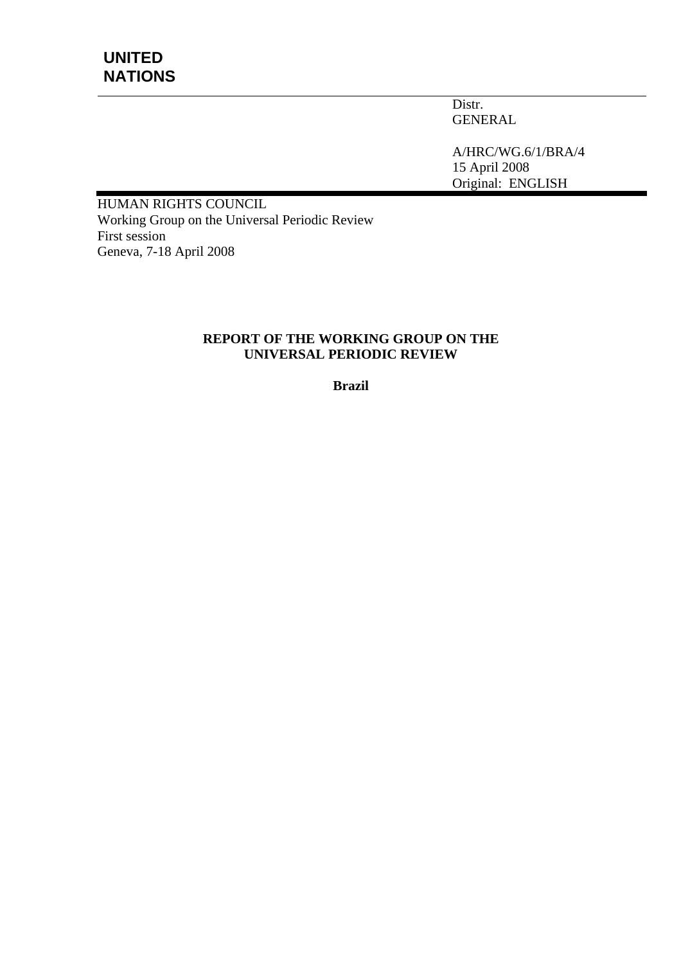Distr. GENERAL

A/HRC/WG.6/1/BRA/4 15 April 2008 Original: ENGLISH

HUMAN RIGHTS COUNCIL Working Group on the Universal Periodic Review First session Geneva, 7-18 April 2008

#### **REPORT OF THE WORKING GROUP ON THE UNIVERSAL PERIODIC REVIEW**

**Brazil**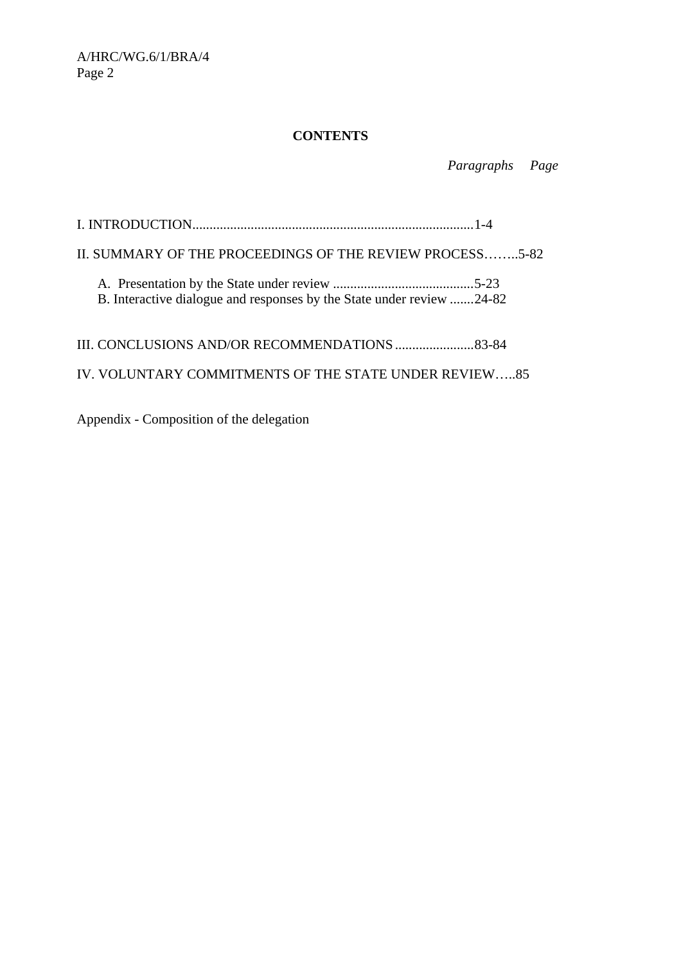# **CONTENTS**

 *Paragraphs Page* 

I. INTRODUCTION..................................................................................1-4 II. SUMMARY OF THE PROCEEDINGS OF THE REVIEW PROCESS……..5-82 A. Presentation by the State under review .........................................5-23 B. Interactive dialogue and responses by the State under review .......24-82 III. CONCLUSIONS AND/OR RECOMMENDATIONS .......................83-84 IV. VOLUNTARY COMMITMENTS OF THE STATE UNDER REVIEW…..85

Appendix - Composition of the delegation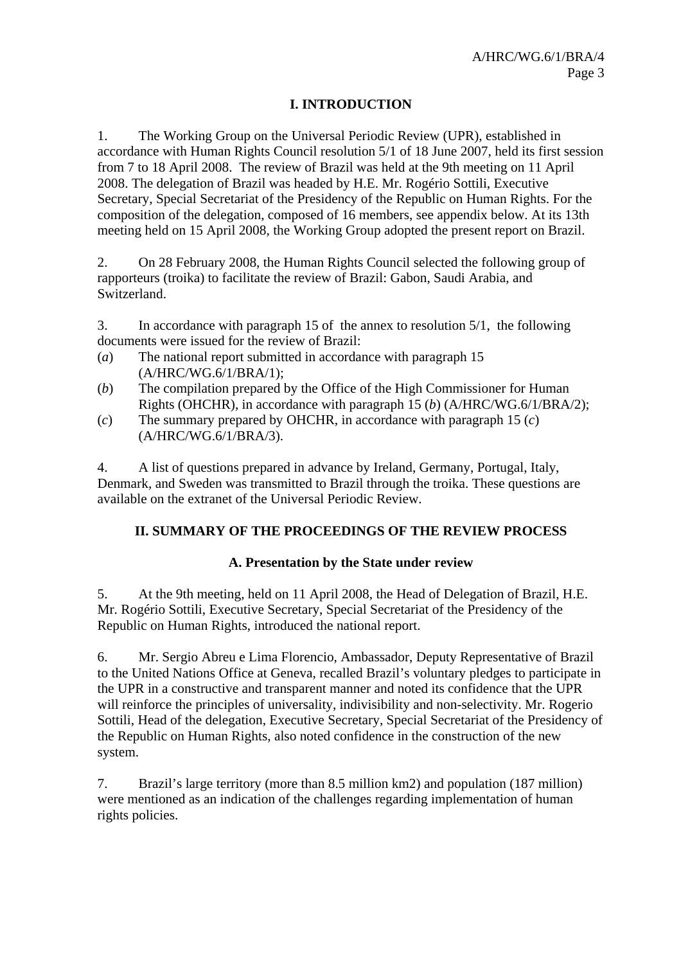# **I. INTRODUCTION**

1. The Working Group on the Universal Periodic Review (UPR), established in accordance with Human Rights Council resolution 5/1 of 18 June 2007, held its first session from 7 to 18 April 2008. The review of Brazil was held at the 9th meeting on 11 April 2008. The delegation of Brazil was headed by H.E. Mr. Rogério Sottili, Executive Secretary, Special Secretariat of the Presidency of the Republic on Human Rights. For the composition of the delegation, composed of 16 members, see appendix below. At its 13th meeting held on 15 April 2008, the Working Group adopted the present report on Brazil.

2. On 28 February 2008, the Human Rights Council selected the following group of rapporteurs (troika) to facilitate the review of Brazil: Gabon, Saudi Arabia, and Switzerland.

3. In accordance with paragraph 15 of the annex to resolution 5/1, the following documents were issued for the review of Brazil:

- (*a*) The national report submitted in accordance with paragraph 15 (A/HRC/WG.6/1/BRA/1);
- (*b*) The compilation prepared by the Office of the High Commissioner for Human Rights (OHCHR), in accordance with paragraph 15 (*b*) (A/HRC/WG.6/1/BRA/2);
- (*c*) The summary prepared by OHCHR, in accordance with paragraph 15 (*c*) (A/HRC/WG.6/1/BRA/3).

4. A list of questions prepared in advance by Ireland, Germany, Portugal, Italy, Denmark, and Sweden was transmitted to Brazil through the troika. These questions are available on the extranet of the Universal Periodic Review.

# **II. SUMMARY OF THE PROCEEDINGS OF THE REVIEW PROCESS**

# **A. Presentation by the State under review**

5. At the 9th meeting, held on 11 April 2008, the Head of Delegation of Brazil, H.E. Mr. Rogério Sottili, Executive Secretary, Special Secretariat of the Presidency of the Republic on Human Rights, introduced the national report.

6. Mr. Sergio Abreu e Lima Florencio, Ambassador, Deputy Representative of Brazil to the United Nations Office at Geneva, recalled Brazil's voluntary pledges to participate in the UPR in a constructive and transparent manner and noted its confidence that the UPR will reinforce the principles of universality, indivisibility and non-selectivity. Mr. Rogerio Sottili, Head of the delegation, Executive Secretary, Special Secretariat of the Presidency of the Republic on Human Rights, also noted confidence in the construction of the new system.

7. Brazil's large territory (more than 8.5 million km2) and population (187 million) were mentioned as an indication of the challenges regarding implementation of human rights policies.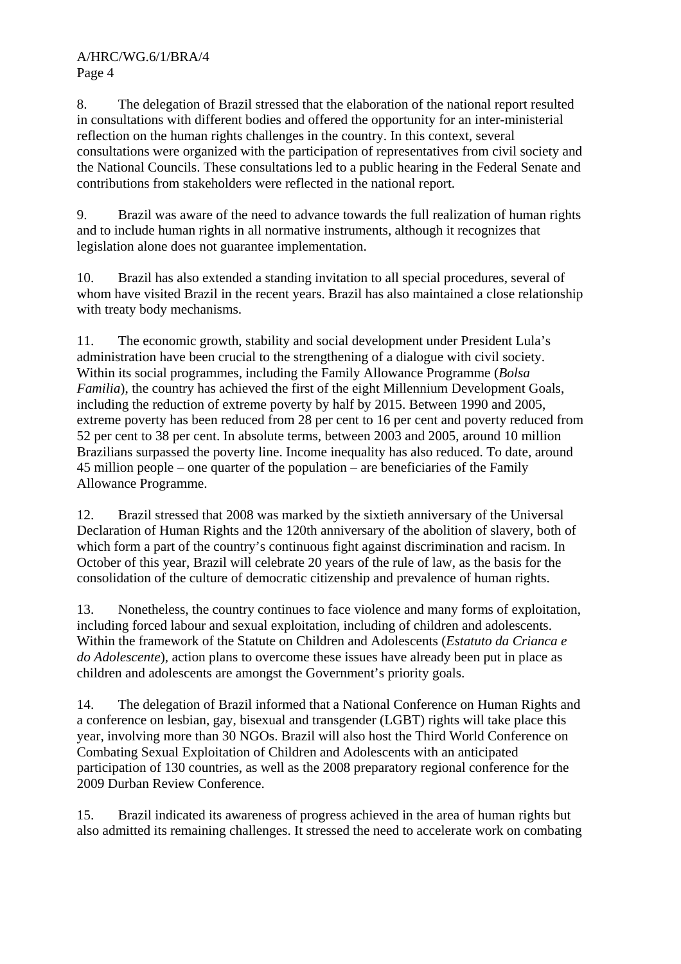8. The delegation of Brazil stressed that the elaboration of the national report resulted in consultations with different bodies and offered the opportunity for an inter-ministerial reflection on the human rights challenges in the country. In this context, several consultations were organized with the participation of representatives from civil society and the National Councils. These consultations led to a public hearing in the Federal Senate and contributions from stakeholders were reflected in the national report.

9. Brazil was aware of the need to advance towards the full realization of human rights and to include human rights in all normative instruments, although it recognizes that legislation alone does not guarantee implementation.

10. Brazil has also extended a standing invitation to all special procedures, several of whom have visited Brazil in the recent years. Brazil has also maintained a close relationship with treaty body mechanisms.

11. The economic growth, stability and social development under President Lula's administration have been crucial to the strengthening of a dialogue with civil society. Within its social programmes, including the Family Allowance Programme (*Bolsa Familia*), the country has achieved the first of the eight Millennium Development Goals, including the reduction of extreme poverty by half by 2015. Between 1990 and 2005, extreme poverty has been reduced from 28 per cent to 16 per cent and poverty reduced from 52 per cent to 38 per cent. In absolute terms, between 2003 and 2005, around 10 million Brazilians surpassed the poverty line. Income inequality has also reduced. To date, around 45 million people – one quarter of the population – are beneficiaries of the Family Allowance Programme.

12. Brazil stressed that 2008 was marked by the sixtieth anniversary of the Universal Declaration of Human Rights and the 120th anniversary of the abolition of slavery, both of which form a part of the country's continuous fight against discrimination and racism. In October of this year, Brazil will celebrate 20 years of the rule of law, as the basis for the consolidation of the culture of democratic citizenship and prevalence of human rights.

13. Nonetheless, the country continues to face violence and many forms of exploitation, including forced labour and sexual exploitation, including of children and adolescents. Within the framework of the Statute on Children and Adolescents (*Estatuto da Crianca e do Adolescente*), action plans to overcome these issues have already been put in place as children and adolescents are amongst the Government's priority goals.

14. The delegation of Brazil informed that a National Conference on Human Rights and a conference on lesbian, gay, bisexual and transgender (LGBT) rights will take place this year, involving more than 30 NGOs. Brazil will also host the Third World Conference on Combating Sexual Exploitation of Children and Adolescents with an anticipated participation of 130 countries, as well as the 2008 preparatory regional conference for the 2009 Durban Review Conference.

15. Brazil indicated its awareness of progress achieved in the area of human rights but also admitted its remaining challenges. It stressed the need to accelerate work on combating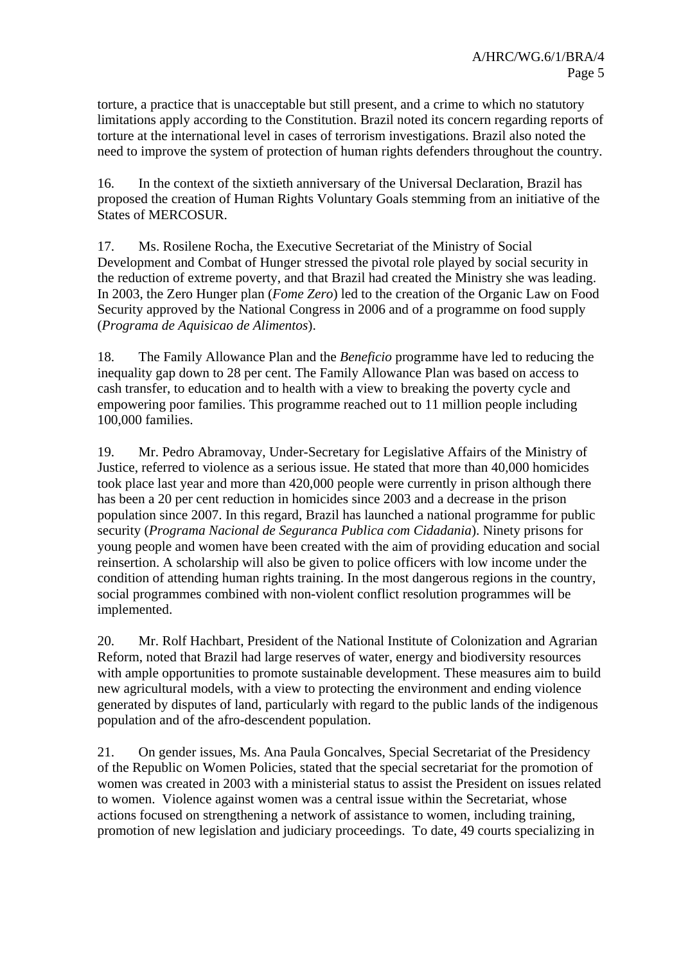torture, a practice that is unacceptable but still present, and a crime to which no statutory limitations apply according to the Constitution. Brazil noted its concern regarding reports of torture at the international level in cases of terrorism investigations. Brazil also noted the need to improve the system of protection of human rights defenders throughout the country.

16. In the context of the sixtieth anniversary of the Universal Declaration, Brazil has proposed the creation of Human Rights Voluntary Goals stemming from an initiative of the States of MERCOSUR.

17. Ms. Rosilene Rocha, the Executive Secretariat of the Ministry of Social Development and Combat of Hunger stressed the pivotal role played by social security in the reduction of extreme poverty, and that Brazil had created the Ministry she was leading. In 2003, the Zero Hunger plan (*Fome Zero*) led to the creation of the Organic Law on Food Security approved by the National Congress in 2006 and of a programme on food supply (*Programa de Aquisicao de Alimentos*).

18. The Family Allowance Plan and the *Beneficio* programme have led to reducing the inequality gap down to 28 per cent. The Family Allowance Plan was based on access to cash transfer, to education and to health with a view to breaking the poverty cycle and empowering poor families. This programme reached out to 11 million people including 100,000 families.

19. Mr. Pedro Abramovay, Under-Secretary for Legislative Affairs of the Ministry of Justice, referred to violence as a serious issue. He stated that more than 40,000 homicides took place last year and more than 420,000 people were currently in prison although there has been a 20 per cent reduction in homicides since 2003 and a decrease in the prison population since 2007. In this regard, Brazil has launched a national programme for public security (*Programa Nacional de Seguranca Publica com Cidadania*). Ninety prisons for young people and women have been created with the aim of providing education and social reinsertion. A scholarship will also be given to police officers with low income under the condition of attending human rights training. In the most dangerous regions in the country, social programmes combined with non-violent conflict resolution programmes will be implemented.

20. Mr. Rolf Hachbart, President of the National Institute of Colonization and Agrarian Reform, noted that Brazil had large reserves of water, energy and biodiversity resources with ample opportunities to promote sustainable development. These measures aim to build new agricultural models, with a view to protecting the environment and ending violence generated by disputes of land, particularly with regard to the public lands of the indigenous population and of the afro-descendent population.

21. On gender issues, Ms. Ana Paula Goncalves, Special Secretariat of the Presidency of the Republic on Women Policies, stated that the special secretariat for the promotion of women was created in 2003 with a ministerial status to assist the President on issues related to women. Violence against women was a central issue within the Secretariat, whose actions focused on strengthening a network of assistance to women, including training, promotion of new legislation and judiciary proceedings. To date, 49 courts specializing in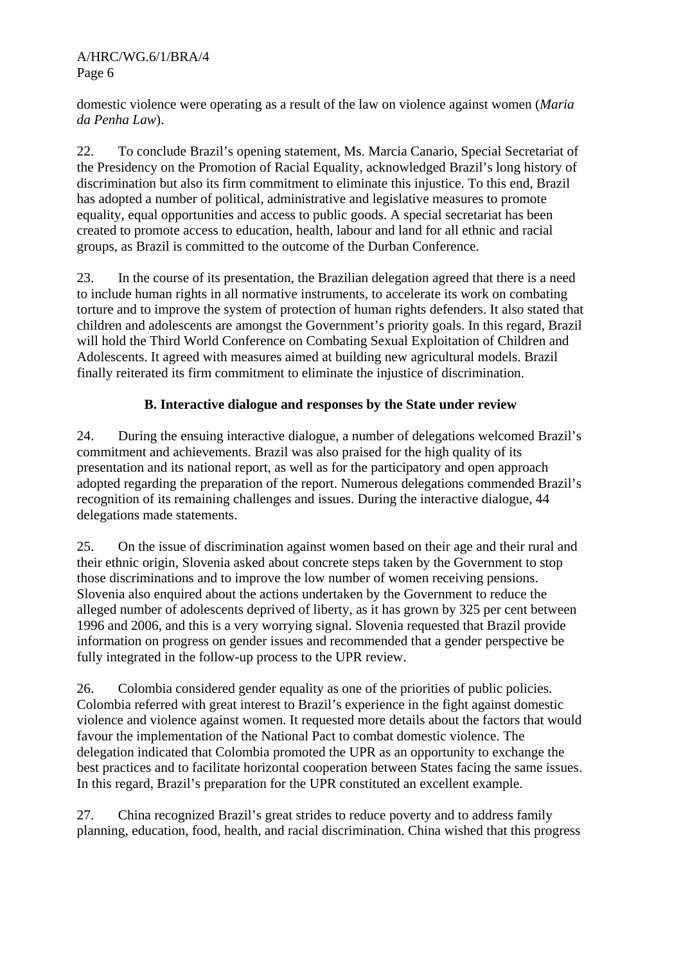domestic violence were operating as a result of the law on violence against women (*Maria da Penha Law*).

22. To conclude Brazil's opening statement, Ms. Marcia Canario, Special Secretariat of the Presidency on the Promotion of Racial Equality, acknowledged Brazil's long history of discrimination but also its firm commitment to eliminate this injustice. To this end, Brazil has adopted a number of political, administrative and legislative measures to promote equality, equal opportunities and access to public goods. A special secretariat has been created to promote access to education, health, labour and land for all ethnic and racial groups, as Brazil is committed to the outcome of the Durban Conference.

23. In the course of its presentation, the Brazilian delegation agreed that there is a need to include human rights in all normative instruments, to accelerate its work on combating torture and to improve the system of protection of human rights defenders. It also stated that children and adolescents are amongst the Government's priority goals. In this regard, Brazil will hold the Third World Conference on Combating Sexual Exploitation of Children and Adolescents. It agreed with measures aimed at building new agricultural models. Brazil finally reiterated its firm commitment to eliminate the injustice of discrimination.

# **B. Interactive dialogue and responses by the State under review**

24. During the ensuing interactive dialogue, a number of delegations welcomed Brazil's commitment and achievements. Brazil was also praised for the high quality of its presentation and its national report, as well as for the participatory and open approach adopted regarding the preparation of the report. Numerous delegations commended Brazil's recognition of its remaining challenges and issues. During the interactive dialogue, 44 delegations made statements.

25. On the issue of discrimination against women based on their age and their rural and their ethnic origin, Slovenia asked about concrete steps taken by the Government to stop those discriminations and to improve the low number of women receiving pensions. Slovenia also enquired about the actions undertaken by the Government to reduce the alleged number of adolescents deprived of liberty, as it has grown by 325 per cent between 1996 and 2006, and this is a very worrying signal. Slovenia requested that Brazil provide information on progress on gender issues and recommended that a gender perspective be fully integrated in the follow-up process to the UPR review.

26. Colombia considered gender equality as one of the priorities of public policies. Colombia referred with great interest to Brazil's experience in the fight against domestic violence and violence against women. It requested more details about the factors that would favour the implementation of the National Pact to combat domestic violence. The delegation indicated that Colombia promoted the UPR as an opportunity to exchange the best practices and to facilitate horizontal cooperation between States facing the same issues. In this regard, Brazil's preparation for the UPR constituted an excellent example.

27. China recognized Brazil's great strides to reduce poverty and to address family planning, education, food, health, and racial discrimination. China wished that this progress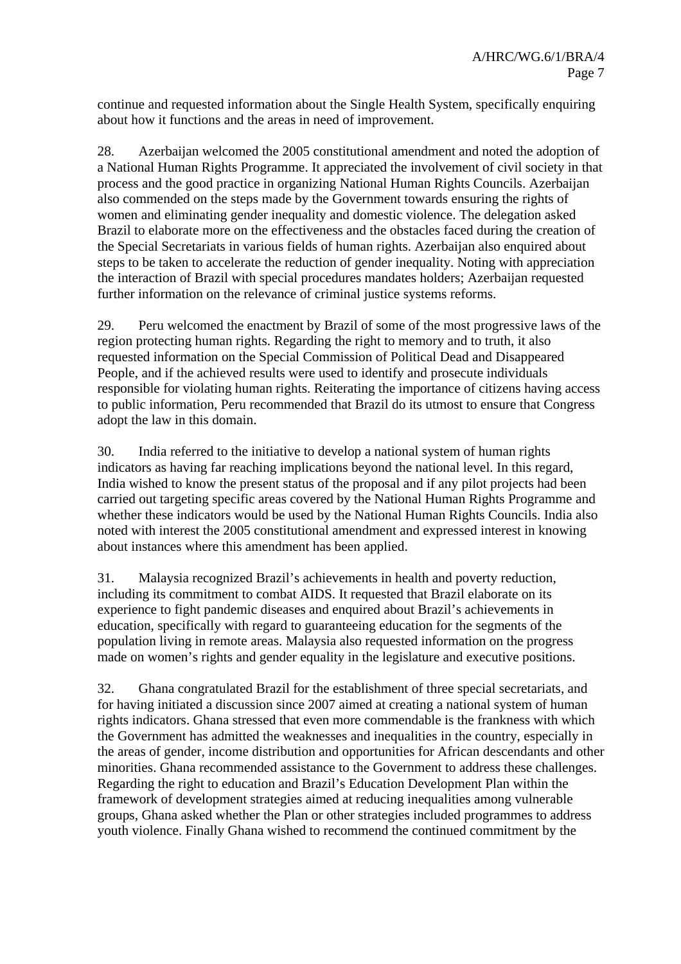continue and requested information about the Single Health System, specifically enquiring about how it functions and the areas in need of improvement.

28. Azerbaijan welcomed the 2005 constitutional amendment and noted the adoption of a National Human Rights Programme. It appreciated the involvement of civil society in that process and the good practice in organizing National Human Rights Councils. Azerbaijan also commended on the steps made by the Government towards ensuring the rights of women and eliminating gender inequality and domestic violence. The delegation asked Brazil to elaborate more on the effectiveness and the obstacles faced during the creation of the Special Secretariats in various fields of human rights. Azerbaijan also enquired about steps to be taken to accelerate the reduction of gender inequality. Noting with appreciation the interaction of Brazil with special procedures mandates holders; Azerbaijan requested further information on the relevance of criminal justice systems reforms.

29. Peru welcomed the enactment by Brazil of some of the most progressive laws of the region protecting human rights. Regarding the right to memory and to truth, it also requested information on the Special Commission of Political Dead and Disappeared People, and if the achieved results were used to identify and prosecute individuals responsible for violating human rights. Reiterating the importance of citizens having access to public information, Peru recommended that Brazil do its utmost to ensure that Congress adopt the law in this domain.

30. India referred to the initiative to develop a national system of human rights indicators as having far reaching implications beyond the national level. In this regard, India wished to know the present status of the proposal and if any pilot projects had been carried out targeting specific areas covered by the National Human Rights Programme and whether these indicators would be used by the National Human Rights Councils. India also noted with interest the 2005 constitutional amendment and expressed interest in knowing about instances where this amendment has been applied.

31. Malaysia recognized Brazil's achievements in health and poverty reduction, including its commitment to combat AIDS. It requested that Brazil elaborate on its experience to fight pandemic diseases and enquired about Brazil's achievements in education, specifically with regard to guaranteeing education for the segments of the population living in remote areas. Malaysia also requested information on the progress made on women's rights and gender equality in the legislature and executive positions.

32. Ghana congratulated Brazil for the establishment of three special secretariats, and for having initiated a discussion since 2007 aimed at creating a national system of human rights indicators. Ghana stressed that even more commendable is the frankness with which the Government has admitted the weaknesses and inequalities in the country, especially in the areas of gender, income distribution and opportunities for African descendants and other minorities. Ghana recommended assistance to the Government to address these challenges. Regarding the right to education and Brazil's Education Development Plan within the framework of development strategies aimed at reducing inequalities among vulnerable groups, Ghana asked whether the Plan or other strategies included programmes to address youth violence. Finally Ghana wished to recommend the continued commitment by the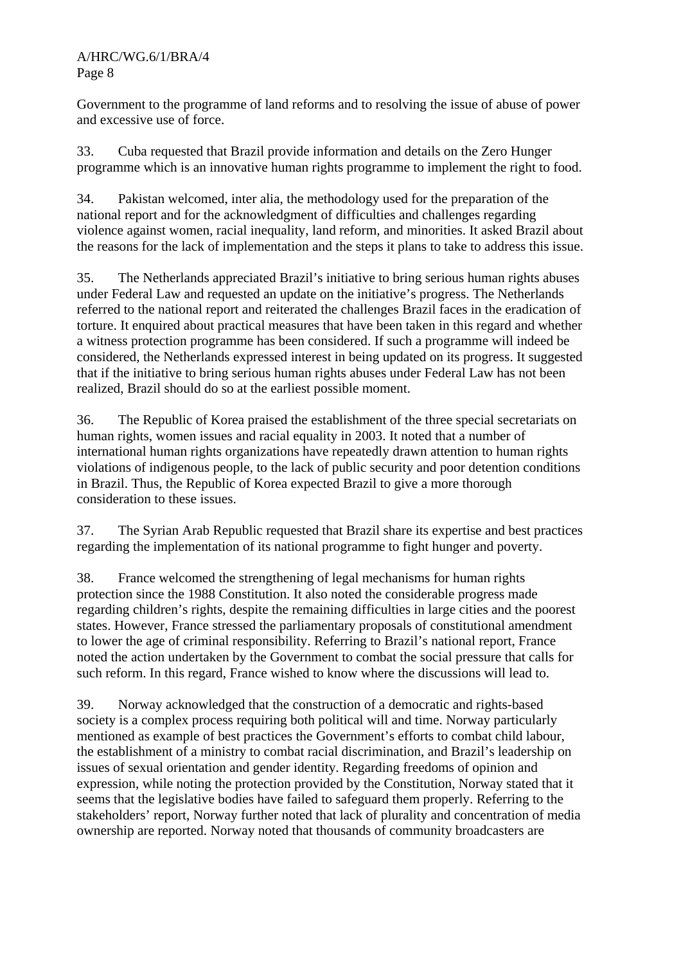Government to the programme of land reforms and to resolving the issue of abuse of power and excessive use of force.

33. Cuba requested that Brazil provide information and details on the Zero Hunger programme which is an innovative human rights programme to implement the right to food.

34. Pakistan welcomed, inter alia, the methodology used for the preparation of the national report and for the acknowledgment of difficulties and challenges regarding violence against women, racial inequality, land reform, and minorities. It asked Brazil about the reasons for the lack of implementation and the steps it plans to take to address this issue.

35. The Netherlands appreciated Brazil's initiative to bring serious human rights abuses under Federal Law and requested an update on the initiative's progress. The Netherlands referred to the national report and reiterated the challenges Brazil faces in the eradication of torture. It enquired about practical measures that have been taken in this regard and whether a witness protection programme has been considered. If such a programme will indeed be considered, the Netherlands expressed interest in being updated on its progress. It suggested that if the initiative to bring serious human rights abuses under Federal Law has not been realized, Brazil should do so at the earliest possible moment.

36. The Republic of Korea praised the establishment of the three special secretariats on human rights, women issues and racial equality in 2003. It noted that a number of international human rights organizations have repeatedly drawn attention to human rights violations of indigenous people, to the lack of public security and poor detention conditions in Brazil. Thus, the Republic of Korea expected Brazil to give a more thorough consideration to these issues.

37. The Syrian Arab Republic requested that Brazil share its expertise and best practices regarding the implementation of its national programme to fight hunger and poverty.

38. France welcomed the strengthening of legal mechanisms for human rights protection since the 1988 Constitution. It also noted the considerable progress made regarding children's rights, despite the remaining difficulties in large cities and the poorest states. However, France stressed the parliamentary proposals of constitutional amendment to lower the age of criminal responsibility. Referring to Brazil's national report, France noted the action undertaken by the Government to combat the social pressure that calls for such reform. In this regard, France wished to know where the discussions will lead to.

39. Norway acknowledged that the construction of a democratic and rights-based society is a complex process requiring both political will and time. Norway particularly mentioned as example of best practices the Government's efforts to combat child labour, the establishment of a ministry to combat racial discrimination, and Brazil's leadership on issues of sexual orientation and gender identity. Regarding freedoms of opinion and expression, while noting the protection provided by the Constitution, Norway stated that it seems that the legislative bodies have failed to safeguard them properly. Referring to the stakeholders' report, Norway further noted that lack of plurality and concentration of media ownership are reported. Norway noted that thousands of community broadcasters are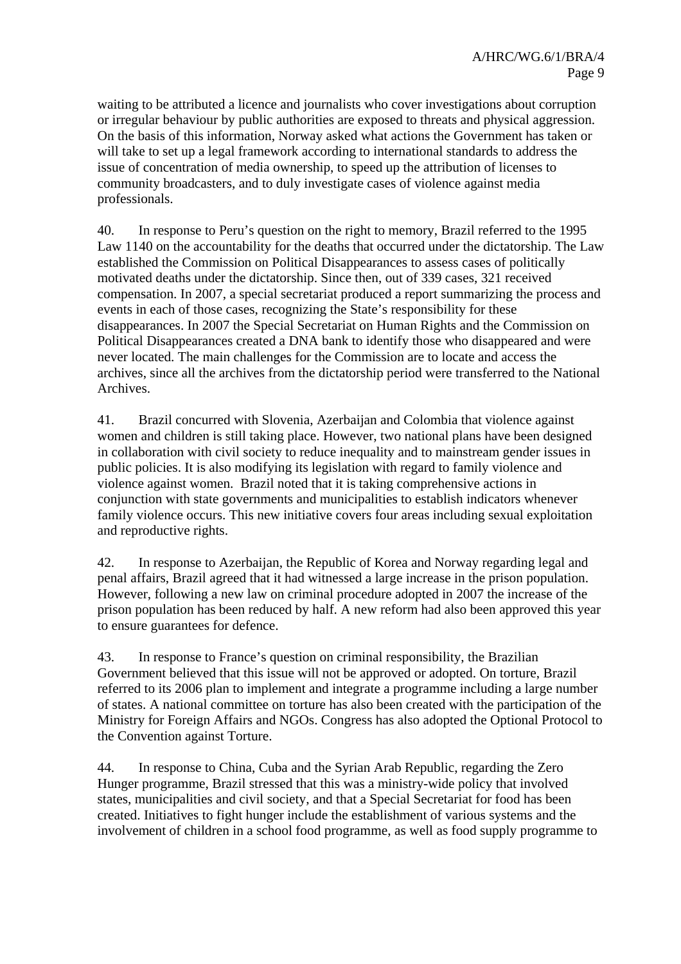waiting to be attributed a licence and journalists who cover investigations about corruption or irregular behaviour by public authorities are exposed to threats and physical aggression. On the basis of this information, Norway asked what actions the Government has taken or will take to set up a legal framework according to international standards to address the issue of concentration of media ownership, to speed up the attribution of licenses to community broadcasters, and to duly investigate cases of violence against media professionals.

40. In response to Peru's question on the right to memory, Brazil referred to the 1995 Law 1140 on the accountability for the deaths that occurred under the dictatorship. The Law established the Commission on Political Disappearances to assess cases of politically motivated deaths under the dictatorship. Since then, out of 339 cases, 321 received compensation. In 2007, a special secretariat produced a report summarizing the process and events in each of those cases, recognizing the State's responsibility for these disappearances. In 2007 the Special Secretariat on Human Rights and the Commission on Political Disappearances created a DNA bank to identify those who disappeared and were never located. The main challenges for the Commission are to locate and access the archives, since all the archives from the dictatorship period were transferred to the National Archives.

41. Brazil concurred with Slovenia, Azerbaijan and Colombia that violence against women and children is still taking place. However, two national plans have been designed in collaboration with civil society to reduce inequality and to mainstream gender issues in public policies. It is also modifying its legislation with regard to family violence and violence against women. Brazil noted that it is taking comprehensive actions in conjunction with state governments and municipalities to establish indicators whenever family violence occurs. This new initiative covers four areas including sexual exploitation and reproductive rights.

42. In response to Azerbaijan, the Republic of Korea and Norway regarding legal and penal affairs, Brazil agreed that it had witnessed a large increase in the prison population. However, following a new law on criminal procedure adopted in 2007 the increase of the prison population has been reduced by half. A new reform had also been approved this year to ensure guarantees for defence.

43. In response to France's question on criminal responsibility, the Brazilian Government believed that this issue will not be approved or adopted. On torture, Brazil referred to its 2006 plan to implement and integrate a programme including a large number of states. A national committee on torture has also been created with the participation of the Ministry for Foreign Affairs and NGOs. Congress has also adopted the Optional Protocol to the Convention against Torture.

44. In response to China, Cuba and the Syrian Arab Republic, regarding the Zero Hunger programme, Brazil stressed that this was a ministry-wide policy that involved states, municipalities and civil society, and that a Special Secretariat for food has been created. Initiatives to fight hunger include the establishment of various systems and the involvement of children in a school food programme, as well as food supply programme to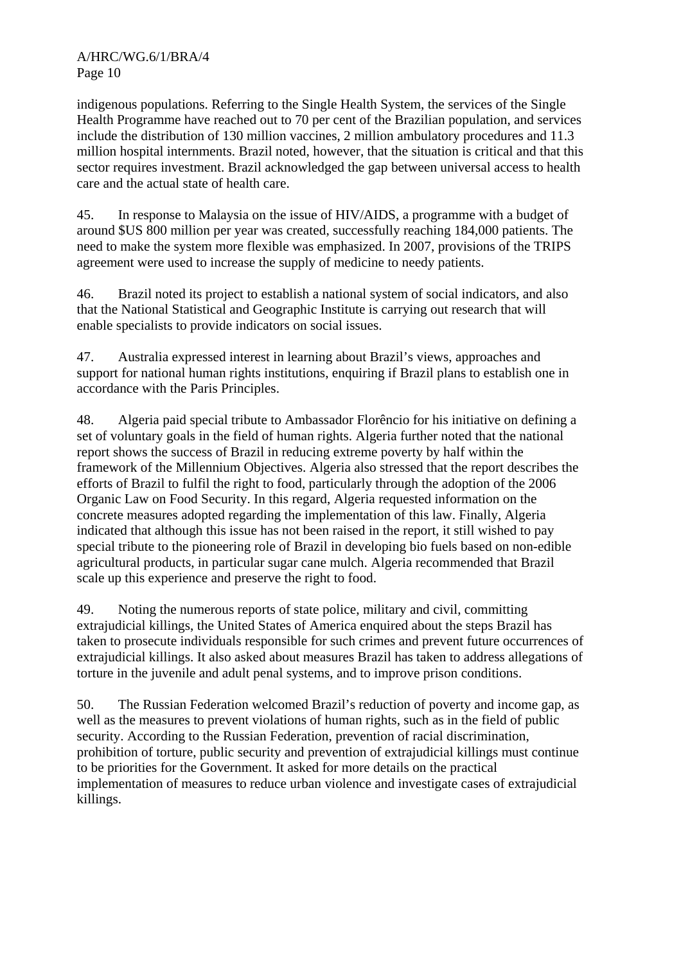indigenous populations. Referring to the Single Health System, the services of the Single Health Programme have reached out to 70 per cent of the Brazilian population, and services include the distribution of 130 million vaccines, 2 million ambulatory procedures and 11.3 million hospital internments. Brazil noted, however, that the situation is critical and that this sector requires investment. Brazil acknowledged the gap between universal access to health care and the actual state of health care.

45. In response to Malaysia on the issue of HIV/AIDS, a programme with a budget of around \$US 800 million per year was created, successfully reaching 184,000 patients. The need to make the system more flexible was emphasized. In 2007, provisions of the TRIPS agreement were used to increase the supply of medicine to needy patients.

46. Brazil noted its project to establish a national system of social indicators, and also that the National Statistical and Geographic Institute is carrying out research that will enable specialists to provide indicators on social issues.

47. Australia expressed interest in learning about Brazil's views, approaches and support for national human rights institutions, enquiring if Brazil plans to establish one in accordance with the Paris Principles.

48. Algeria paid special tribute to Ambassador Florêncio for his initiative on defining a set of voluntary goals in the field of human rights. Algeria further noted that the national report shows the success of Brazil in reducing extreme poverty by half within the framework of the Millennium Objectives. Algeria also stressed that the report describes the efforts of Brazil to fulfil the right to food, particularly through the adoption of the 2006 Organic Law on Food Security. In this regard, Algeria requested information on the concrete measures adopted regarding the implementation of this law. Finally, Algeria indicated that although this issue has not been raised in the report, it still wished to pay special tribute to the pioneering role of Brazil in developing bio fuels based on non-edible agricultural products, in particular sugar cane mulch. Algeria recommended that Brazil scale up this experience and preserve the right to food.

49. Noting the numerous reports of state police, military and civil, committing extrajudicial killings, the United States of America enquired about the steps Brazil has taken to prosecute individuals responsible for such crimes and prevent future occurrences of extrajudicial killings. It also asked about measures Brazil has taken to address allegations of torture in the juvenile and adult penal systems, and to improve prison conditions.

50. The Russian Federation welcomed Brazil's reduction of poverty and income gap, as well as the measures to prevent violations of human rights, such as in the field of public security. According to the Russian Federation, prevention of racial discrimination, prohibition of torture, public security and prevention of extrajudicial killings must continue to be priorities for the Government. It asked for more details on the practical implementation of measures to reduce urban violence and investigate cases of extrajudicial killings.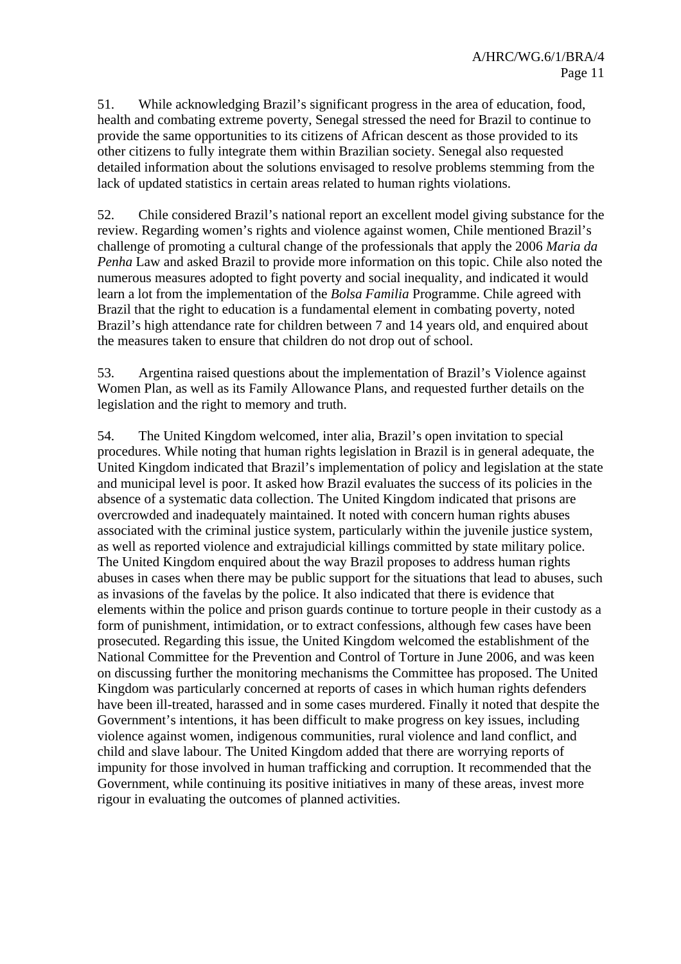51. While acknowledging Brazil's significant progress in the area of education, food, health and combating extreme poverty, Senegal stressed the need for Brazil to continue to provide the same opportunities to its citizens of African descent as those provided to its other citizens to fully integrate them within Brazilian society. Senegal also requested detailed information about the solutions envisaged to resolve problems stemming from the lack of updated statistics in certain areas related to human rights violations.

52. Chile considered Brazil's national report an excellent model giving substance for the review. Regarding women's rights and violence against women, Chile mentioned Brazil's challenge of promoting a cultural change of the professionals that apply the 2006 *Maria da Penha* Law and asked Brazil to provide more information on this topic. Chile also noted the numerous measures adopted to fight poverty and social inequality, and indicated it would learn a lot from the implementation of the *Bolsa Familia* Programme. Chile agreed with Brazil that the right to education is a fundamental element in combating poverty, noted Brazil's high attendance rate for children between 7 and 14 years old, and enquired about the measures taken to ensure that children do not drop out of school.

53. Argentina raised questions about the implementation of Brazil's Violence against Women Plan, as well as its Family Allowance Plans, and requested further details on the legislation and the right to memory and truth.

54. The United Kingdom welcomed, inter alia, Brazil's open invitation to special procedures. While noting that human rights legislation in Brazil is in general adequate, the United Kingdom indicated that Brazil's implementation of policy and legislation at the state and municipal level is poor. It asked how Brazil evaluates the success of its policies in the absence of a systematic data collection. The United Kingdom indicated that prisons are overcrowded and inadequately maintained. It noted with concern human rights abuses associated with the criminal justice system, particularly within the juvenile justice system, as well as reported violence and extrajudicial killings committed by state military police. The United Kingdom enquired about the way Brazil proposes to address human rights abuses in cases when there may be public support for the situations that lead to abuses, such as invasions of the favelas by the police. It also indicated that there is evidence that elements within the police and prison guards continue to torture people in their custody as a form of punishment, intimidation, or to extract confessions, although few cases have been prosecuted. Regarding this issue, the United Kingdom welcomed the establishment of the National Committee for the Prevention and Control of Torture in June 2006, and was keen on discussing further the monitoring mechanisms the Committee has proposed. The United Kingdom was particularly concerned at reports of cases in which human rights defenders have been ill-treated, harassed and in some cases murdered. Finally it noted that despite the Government's intentions, it has been difficult to make progress on key issues, including violence against women, indigenous communities, rural violence and land conflict, and child and slave labour. The United Kingdom added that there are worrying reports of impunity for those involved in human trafficking and corruption. It recommended that the Government, while continuing its positive initiatives in many of these areas, invest more rigour in evaluating the outcomes of planned activities.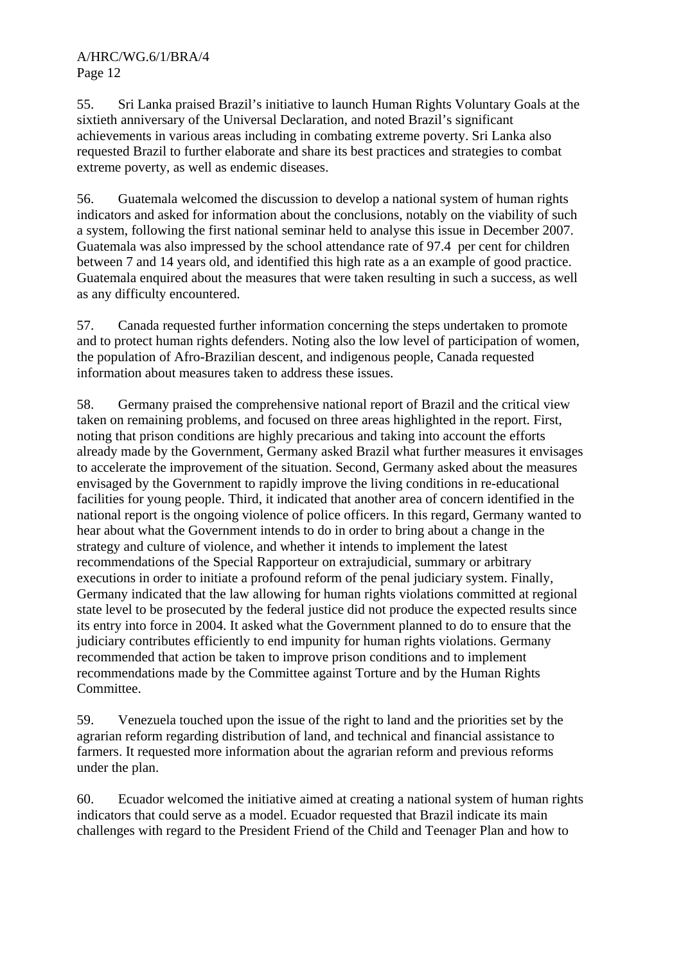55. Sri Lanka praised Brazil's initiative to launch Human Rights Voluntary Goals at the sixtieth anniversary of the Universal Declaration, and noted Brazil's significant achievements in various areas including in combating extreme poverty. Sri Lanka also requested Brazil to further elaborate and share its best practices and strategies to combat extreme poverty, as well as endemic diseases.

56. Guatemala welcomed the discussion to develop a national system of human rights indicators and asked for information about the conclusions, notably on the viability of such a system, following the first national seminar held to analyse this issue in December 2007. Guatemala was also impressed by the school attendance rate of 97.4 per cent for children between 7 and 14 years old, and identified this high rate as a an example of good practice. Guatemala enquired about the measures that were taken resulting in such a success, as well as any difficulty encountered.

57. Canada requested further information concerning the steps undertaken to promote and to protect human rights defenders. Noting also the low level of participation of women, the population of Afro-Brazilian descent, and indigenous people, Canada requested information about measures taken to address these issues.

58. Germany praised the comprehensive national report of Brazil and the critical view taken on remaining problems, and focused on three areas highlighted in the report. First, noting that prison conditions are highly precarious and taking into account the efforts already made by the Government, Germany asked Brazil what further measures it envisages to accelerate the improvement of the situation. Second, Germany asked about the measures envisaged by the Government to rapidly improve the living conditions in re-educational facilities for young people. Third, it indicated that another area of concern identified in the national report is the ongoing violence of police officers. In this regard, Germany wanted to hear about what the Government intends to do in order to bring about a change in the strategy and culture of violence, and whether it intends to implement the latest recommendations of the Special Rapporteur on extrajudicial, summary or arbitrary executions in order to initiate a profound reform of the penal judiciary system. Finally, Germany indicated that the law allowing for human rights violations committed at regional state level to be prosecuted by the federal justice did not produce the expected results since its entry into force in 2004. It asked what the Government planned to do to ensure that the judiciary contributes efficiently to end impunity for human rights violations. Germany recommended that action be taken to improve prison conditions and to implement recommendations made by the Committee against Torture and by the Human Rights Committee.

59. Venezuela touched upon the issue of the right to land and the priorities set by the agrarian reform regarding distribution of land, and technical and financial assistance to farmers. It requested more information about the agrarian reform and previous reforms under the plan.

60. Ecuador welcomed the initiative aimed at creating a national system of human rights indicators that could serve as a model. Ecuador requested that Brazil indicate its main challenges with regard to the President Friend of the Child and Teenager Plan and how to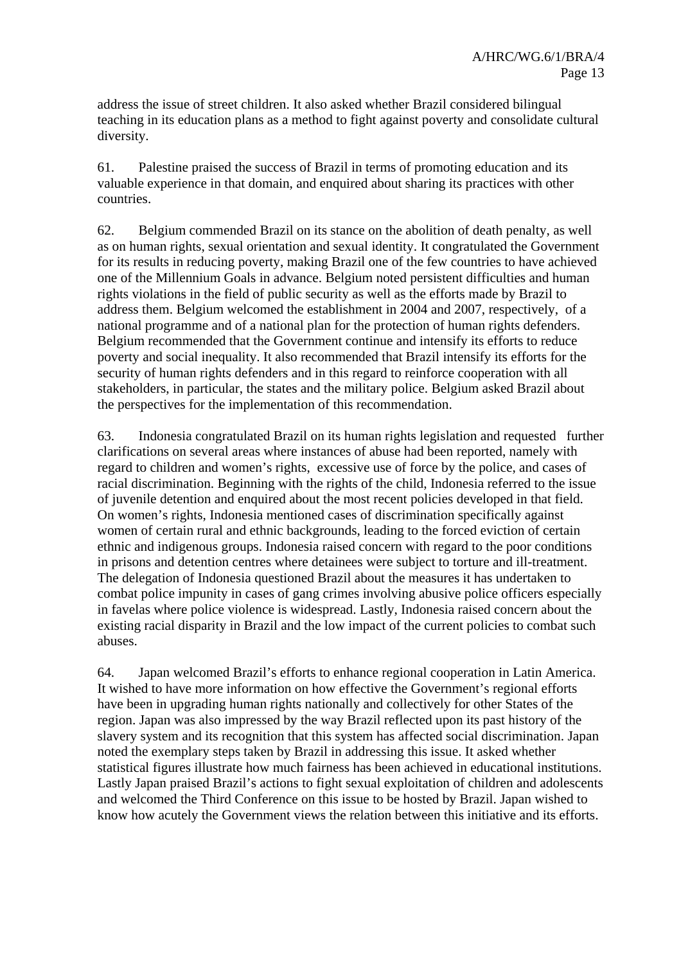address the issue of street children. It also asked whether Brazil considered bilingual teaching in its education plans as a method to fight against poverty and consolidate cultural diversity.

61. Palestine praised the success of Brazil in terms of promoting education and its valuable experience in that domain, and enquired about sharing its practices with other countries.

62. Belgium commended Brazil on its stance on the abolition of death penalty, as well as on human rights, sexual orientation and sexual identity. It congratulated the Government for its results in reducing poverty, making Brazil one of the few countries to have achieved one of the Millennium Goals in advance. Belgium noted persistent difficulties and human rights violations in the field of public security as well as the efforts made by Brazil to address them. Belgium welcomed the establishment in 2004 and 2007, respectively, of a national programme and of a national plan for the protection of human rights defenders. Belgium recommended that the Government continue and intensify its efforts to reduce poverty and social inequality. It also recommended that Brazil intensify its efforts for the security of human rights defenders and in this regard to reinforce cooperation with all stakeholders, in particular, the states and the military police. Belgium asked Brazil about the perspectives for the implementation of this recommendation.

63. Indonesia congratulated Brazil on its human rights legislation and requested further clarifications on several areas where instances of abuse had been reported, namely with regard to children and women's rights, excessive use of force by the police, and cases of racial discrimination. Beginning with the rights of the child, Indonesia referred to the issue of juvenile detention and enquired about the most recent policies developed in that field. On women's rights, Indonesia mentioned cases of discrimination specifically against women of certain rural and ethnic backgrounds, leading to the forced eviction of certain ethnic and indigenous groups. Indonesia raised concern with regard to the poor conditions in prisons and detention centres where detainees were subject to torture and ill-treatment. The delegation of Indonesia questioned Brazil about the measures it has undertaken to combat police impunity in cases of gang crimes involving abusive police officers especially in favelas where police violence is widespread. Lastly, Indonesia raised concern about the existing racial disparity in Brazil and the low impact of the current policies to combat such abuses.

64. Japan welcomed Brazil's efforts to enhance regional cooperation in Latin America. It wished to have more information on how effective the Government's regional efforts have been in upgrading human rights nationally and collectively for other States of the region. Japan was also impressed by the way Brazil reflected upon its past history of the slavery system and its recognition that this system has affected social discrimination. Japan noted the exemplary steps taken by Brazil in addressing this issue. It asked whether statistical figures illustrate how much fairness has been achieved in educational institutions. Lastly Japan praised Brazil's actions to fight sexual exploitation of children and adolescents and welcomed the Third Conference on this issue to be hosted by Brazil. Japan wished to know how acutely the Government views the relation between this initiative and its efforts.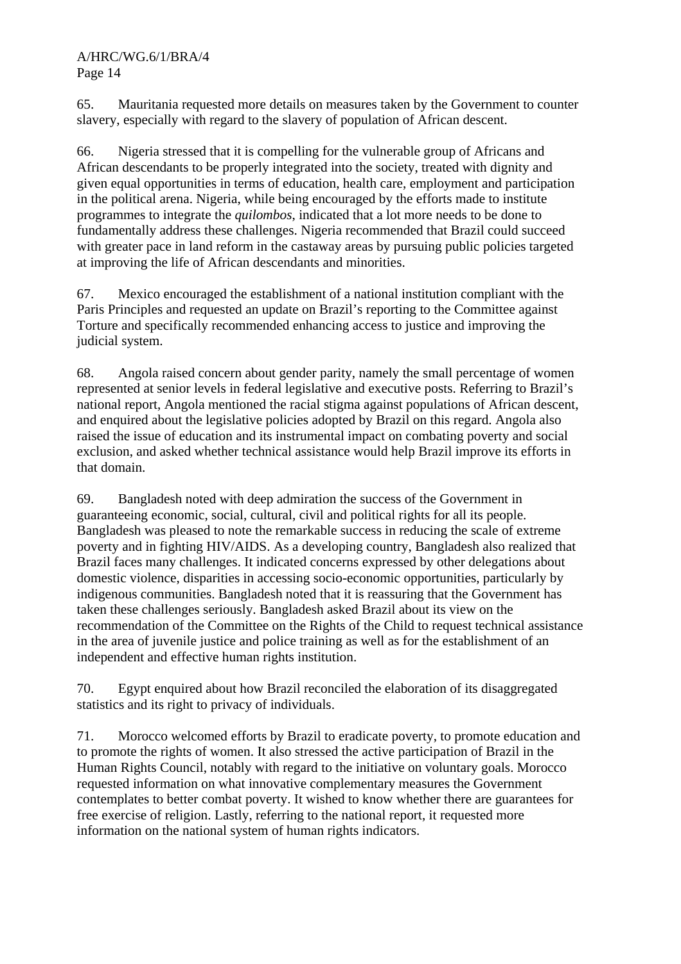65. Mauritania requested more details on measures taken by the Government to counter slavery, especially with regard to the slavery of population of African descent.

66. Nigeria stressed that it is compelling for the vulnerable group of Africans and African descendants to be properly integrated into the society, treated with dignity and given equal opportunities in terms of education, health care, employment and participation in the political arena. Nigeria, while being encouraged by the efforts made to institute programmes to integrate the *quilombos*, indicated that a lot more needs to be done to fundamentally address these challenges. Nigeria recommended that Brazil could succeed with greater pace in land reform in the castaway areas by pursuing public policies targeted at improving the life of African descendants and minorities.

67. Mexico encouraged the establishment of a national institution compliant with the Paris Principles and requested an update on Brazil's reporting to the Committee against Torture and specifically recommended enhancing access to justice and improving the judicial system.

68. Angola raised concern about gender parity, namely the small percentage of women represented at senior levels in federal legislative and executive posts. Referring to Brazil's national report, Angola mentioned the racial stigma against populations of African descent, and enquired about the legislative policies adopted by Brazil on this regard. Angola also raised the issue of education and its instrumental impact on combating poverty and social exclusion, and asked whether technical assistance would help Brazil improve its efforts in that domain.

69. Bangladesh noted with deep admiration the success of the Government in guaranteeing economic, social, cultural, civil and political rights for all its people. Bangladesh was pleased to note the remarkable success in reducing the scale of extreme poverty and in fighting HIV/AIDS. As a developing country, Bangladesh also realized that Brazil faces many challenges. It indicated concerns expressed by other delegations about domestic violence, disparities in accessing socio-economic opportunities, particularly by indigenous communities. Bangladesh noted that it is reassuring that the Government has taken these challenges seriously. Bangladesh asked Brazil about its view on the recommendation of the Committee on the Rights of the Child to request technical assistance in the area of juvenile justice and police training as well as for the establishment of an independent and effective human rights institution.

70. Egypt enquired about how Brazil reconciled the elaboration of its disaggregated statistics and its right to privacy of individuals.

71. Morocco welcomed efforts by Brazil to eradicate poverty, to promote education and to promote the rights of women. It also stressed the active participation of Brazil in the Human Rights Council, notably with regard to the initiative on voluntary goals. Morocco requested information on what innovative complementary measures the Government contemplates to better combat poverty. It wished to know whether there are guarantees for free exercise of religion. Lastly, referring to the national report, it requested more information on the national system of human rights indicators.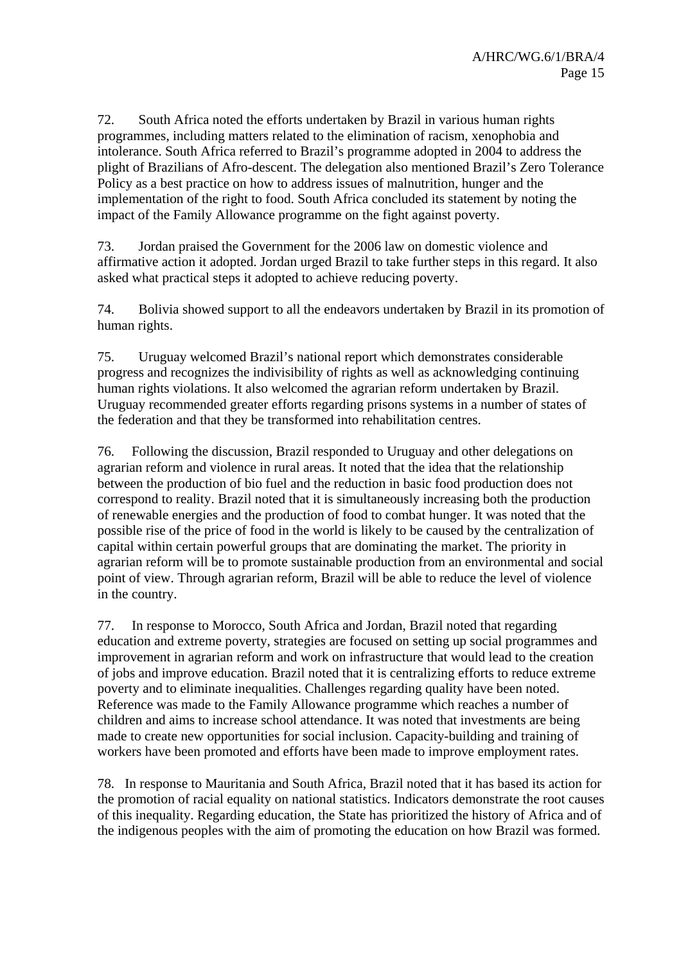72. South Africa noted the efforts undertaken by Brazil in various human rights programmes, including matters related to the elimination of racism, xenophobia and intolerance. South Africa referred to Brazil's programme adopted in 2004 to address the plight of Brazilians of Afro-descent. The delegation also mentioned Brazil's Zero Tolerance Policy as a best practice on how to address issues of malnutrition, hunger and the implementation of the right to food. South Africa concluded its statement by noting the impact of the Family Allowance programme on the fight against poverty.

73. Jordan praised the Government for the 2006 law on domestic violence and affirmative action it adopted. Jordan urged Brazil to take further steps in this regard. It also asked what practical steps it adopted to achieve reducing poverty.

74. Bolivia showed support to all the endeavors undertaken by Brazil in its promotion of human rights.

75. Uruguay welcomed Brazil's national report which demonstrates considerable progress and recognizes the indivisibility of rights as well as acknowledging continuing human rights violations. It also welcomed the agrarian reform undertaken by Brazil. Uruguay recommended greater efforts regarding prisons systems in a number of states of the federation and that they be transformed into rehabilitation centres.

76. Following the discussion, Brazil responded to Uruguay and other delegations on agrarian reform and violence in rural areas. It noted that the idea that the relationship between the production of bio fuel and the reduction in basic food production does not correspond to reality. Brazil noted that it is simultaneously increasing both the production of renewable energies and the production of food to combat hunger. It was noted that the possible rise of the price of food in the world is likely to be caused by the centralization of capital within certain powerful groups that are dominating the market. The priority in agrarian reform will be to promote sustainable production from an environmental and social point of view. Through agrarian reform, Brazil will be able to reduce the level of violence in the country.

77. In response to Morocco, South Africa and Jordan, Brazil noted that regarding education and extreme poverty, strategies are focused on setting up social programmes and improvement in agrarian reform and work on infrastructure that would lead to the creation of jobs and improve education. Brazil noted that it is centralizing efforts to reduce extreme poverty and to eliminate inequalities. Challenges regarding quality have been noted. Reference was made to the Family Allowance programme which reaches a number of children and aims to increase school attendance. It was noted that investments are being made to create new opportunities for social inclusion. Capacity-building and training of workers have been promoted and efforts have been made to improve employment rates.

78. In response to Mauritania and South Africa, Brazil noted that it has based its action for the promotion of racial equality on national statistics. Indicators demonstrate the root causes of this inequality. Regarding education, the State has prioritized the history of Africa and of the indigenous peoples with the aim of promoting the education on how Brazil was formed.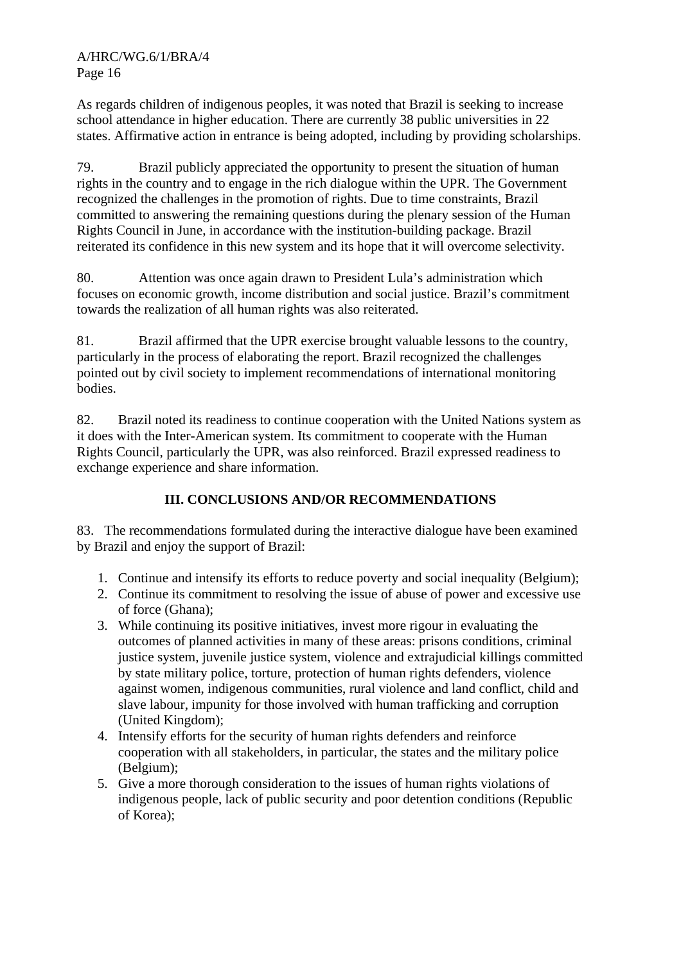As regards children of indigenous peoples, it was noted that Brazil is seeking to increase school attendance in higher education. There are currently 38 public universities in 22 states. Affirmative action in entrance is being adopted, including by providing scholarships.

79. Brazil publicly appreciated the opportunity to present the situation of human rights in the country and to engage in the rich dialogue within the UPR. The Government recognized the challenges in the promotion of rights. Due to time constraints, Brazil committed to answering the remaining questions during the plenary session of the Human Rights Council in June, in accordance with the institution-building package. Brazil reiterated its confidence in this new system and its hope that it will overcome selectivity.

80. Attention was once again drawn to President Lula's administration which focuses on economic growth, income distribution and social justice. Brazil's commitment towards the realization of all human rights was also reiterated.

81. Brazil affirmed that the UPR exercise brought valuable lessons to the country, particularly in the process of elaborating the report. Brazil recognized the challenges pointed out by civil society to implement recommendations of international monitoring bodies.

82. Brazil noted its readiness to continue cooperation with the United Nations system as it does with the Inter-American system. Its commitment to cooperate with the Human Rights Council, particularly the UPR, was also reinforced. Brazil expressed readiness to exchange experience and share information.

# **III. CONCLUSIONS AND/OR RECOMMENDATIONS**

83. The recommendations formulated during the interactive dialogue have been examined by Brazil and enjoy the support of Brazil:

- 1. Continue and intensify its efforts to reduce poverty and social inequality (Belgium);
- 2. Continue its commitment to resolving the issue of abuse of power and excessive use of force (Ghana);
- 3. While continuing its positive initiatives, invest more rigour in evaluating the outcomes of planned activities in many of these areas: prisons conditions, criminal justice system, juvenile justice system, violence and extrajudicial killings committed by state military police, torture, protection of human rights defenders, violence against women, indigenous communities, rural violence and land conflict, child and slave labour, impunity for those involved with human trafficking and corruption (United Kingdom);
- 4. Intensify efforts for the security of human rights defenders and reinforce cooperation with all stakeholders, in particular, the states and the military police (Belgium);
- 5. Give a more thorough consideration to the issues of human rights violations of indigenous people, lack of public security and poor detention conditions (Republic of Korea);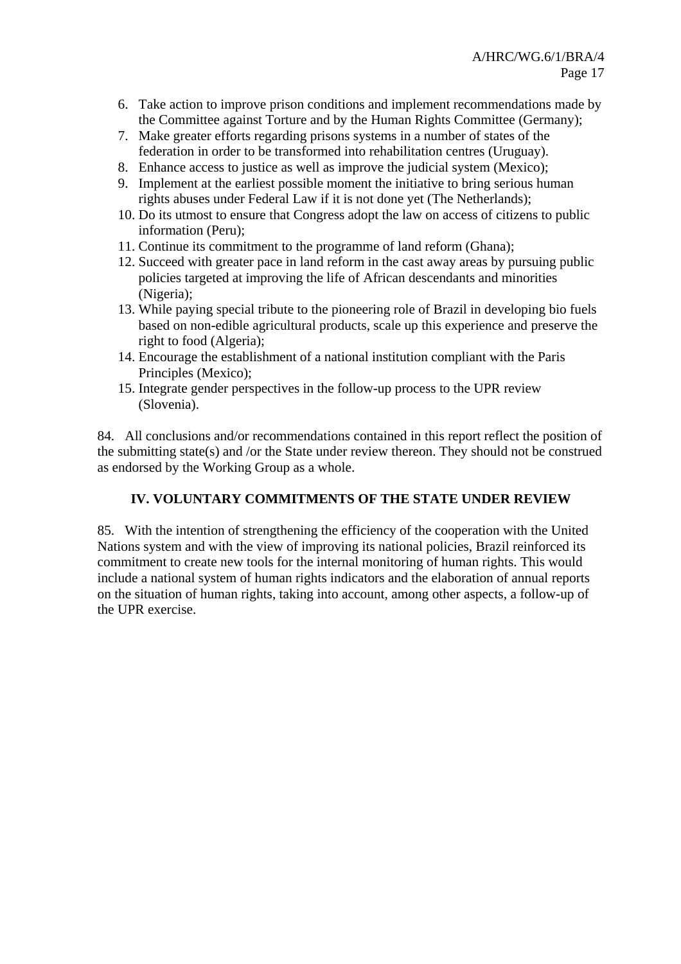- 6. Take action to improve prison conditions and implement recommendations made by the Committee against Torture and by the Human Rights Committee (Germany);
- 7. Make greater efforts regarding prisons systems in a number of states of the federation in order to be transformed into rehabilitation centres (Uruguay).
- 8. Enhance access to justice as well as improve the judicial system (Mexico);
- 9. Implement at the earliest possible moment the initiative to bring serious human rights abuses under Federal Law if it is not done yet (The Netherlands);
- 10. Do its utmost to ensure that Congress adopt the law on access of citizens to public information (Peru);
- 11. Continue its commitment to the programme of land reform (Ghana);
- 12. Succeed with greater pace in land reform in the cast away areas by pursuing public policies targeted at improving the life of African descendants and minorities (Nigeria);
- 13. While paying special tribute to the pioneering role of Brazil in developing bio fuels based on non-edible agricultural products, scale up this experience and preserve the right to food (Algeria);
- 14. Encourage the establishment of a national institution compliant with the Paris Principles (Mexico);
- 15. Integrate gender perspectives in the follow-up process to the UPR review (Slovenia).

84. All conclusions and/or recommendations contained in this report reflect the position of the submitting state(s) and /or the State under review thereon. They should not be construed as endorsed by the Working Group as a whole.

# **IV. VOLUNTARY COMMITMENTS OF THE STATE UNDER REVIEW**

85. With the intention of strengthening the efficiency of the cooperation with the United Nations system and with the view of improving its national policies, Brazil reinforced its commitment to create new tools for the internal monitoring of human rights. This would include a national system of human rights indicators and the elaboration of annual reports on the situation of human rights, taking into account, among other aspects, a follow-up of the UPR exercise.